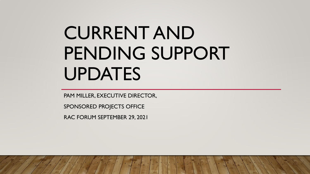# CURRENT AND PENDING SUPPORT UPDATES

PAM MILLER, EXECUTIVE DIRECTOR,

SPONSORED PROJECTS OFFICE

RAC FORUM SEPTEMBER 29, 2021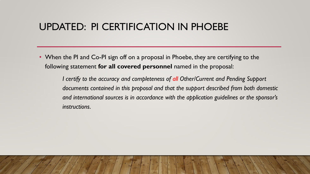## UPDATED: PI CERTIFICATION IN PHOEBE

• When the PI and Co-PI sign off on a proposal in Phoebe, they are certifying to the following statement **for all covered personnel** named in the proposal:

> *I certify to the accuracy and completeness of all Other/Current and Pending Support documents contained in this proposal and that the support described from both domestic and international sources is in accordance with the application guidelines or the sponsor's instructions.*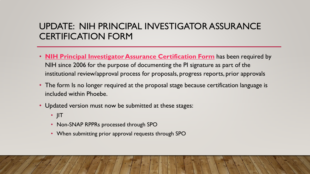#### UPDATE: NIH PRINCIPAL INVESTIGATOR ASSURANCE CERTIFICATION FORM

- **[NIH Principal Investigator Assurance Certification Form](https://spo.berkeley.edu/forms/nihcertification.pdf)** has been required by NIH since 2006 for the purpose of documenting the PI signature as part of the institutional review/approval process for proposals, progress reports, prior approvals
- The form Is no longer required at the proposal stage because certification language is included within Phoebe.
- Updated version must now be submitted at these stages:
	- JIT
	- Non-SNAP RPPRs processed through SPO
	- When submitting prior approval requests through SPO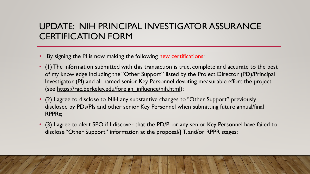#### UPDATE: NIH PRINCIPAL INVESTIGATOR ASSURANCE CERTIFICATION FORM

- By signing the PI is now making the following new certifications:
- (1) The information submitted with this transaction is true, complete and accurate to the best of my knowledge including the "Other Support" listed by the Project Director (PD)/Principal Investigator (PI) and all named senior Key Personnel devoting measurable effort the project (see https://rac.berkeley.edu/foreign\_influence/nih.html);
- (2) I agree to disclose to NIH any substantive changes to "Other Support" previously disclosed by PDs/PIs and other senior Key Personnel when submitting future annual/final RPPRs;
- (3) I agree to alert SPO if I discover that the PD/PI or any senior Key Personnel have failed to disclose "Other Support" information at the proposal/JIT, and/or RPPR stages;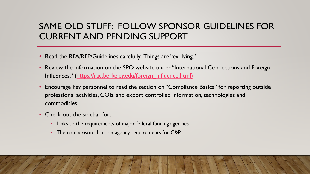#### SAME OLD STUFF: FOLLOW SPONSOR GUIDELINES FOR CURRENT AND PENDING SUPPORT

- Read the RFA/RFP/Guidelines carefully. Things are "evolving."
- Review the information on the SPO website under "International Connections and Foreign Influences." [\(https://rac.berkeley.edu/foreign\\_influence.html\)](https://rac.berkeley.edu/foreign_influence.html)
- Encourage key personnel to read the section on "Compliance Basics" for reporting outside professional activities, COIs, and export controlled information, technologies and commodities
- Check out the sidebar for:
	- Links to the requirements of major federal funding agencies
	- The comparison chart on agency requirements for C&P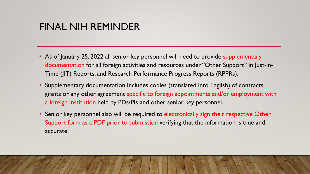## FINAL NIH REMINDER

- As of January 25, 2022 all senior key personnel will need to provide supplementary documentation for all foreign activities and resources under "Other Support" in Just-in-Time (JIT) Reports, and Research Performance Progress Reports (RPPRs).
- Supplementary documentation Includes copies (translated into English) of contracts, grants or any other agreement specific to foreign appointments and/or employment with a foreign institution held by PDs/PIs and other senior key personnel.
- Senior key personnel also will be required to electronically sign their respective Other Support form as a PDF prior to submission verifying that the information is true and accurate.